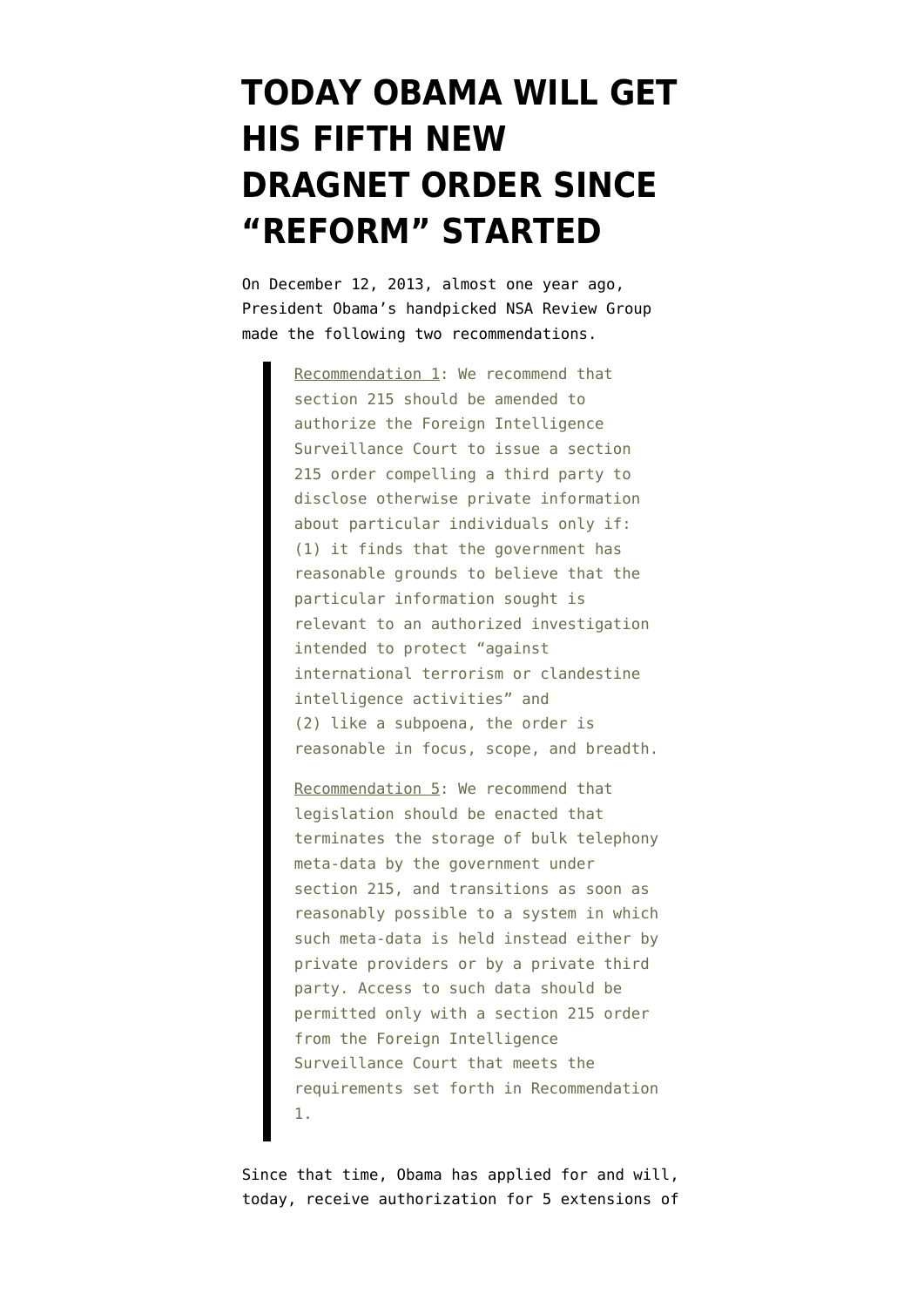## **[TODAY OBAMA WILL GET](https://www.emptywheel.net/2014/12/05/today-obama-will-get-his-fifth-new-dragnet-order-since-reform-started/) [HIS FIFTH NEW](https://www.emptywheel.net/2014/12/05/today-obama-will-get-his-fifth-new-dragnet-order-since-reform-started/) [DRAGNET ORDER SINCE](https://www.emptywheel.net/2014/12/05/today-obama-will-get-his-fifth-new-dragnet-order-since-reform-started/) ["REFORM" STARTED](https://www.emptywheel.net/2014/12/05/today-obama-will-get-his-fifth-new-dragnet-order-since-reform-started/)**

On December 12, 2013, almost one year ago, President Obama's handpicked NSA Review Group [made the following two recommendations.](http://www.whitehouse.gov/sites/default/files/docs/2013-12-12_rg_final_report.pdf)

> Recommendation 1: We recommend that section 215 should be amended to authorize the Foreign Intelligence Surveillance Court to issue a section 215 order compelling a third party to disclose otherwise private information about particular individuals only if: (1) it finds that the government has reasonable grounds to believe that the particular information sought is relevant to an authorized investigation intended to protect "against international terrorism or clandestine intelligence activities" and (2) like a subpoena, the order is reasonable in focus, scope, and breadth.

Recommendation 5: We recommend that legislation should be enacted that terminates the storage of bulk telephony meta-data by the government under section 215, and transitions as soon as reasonably possible to a system in which such meta-data is held instead either by private providers or by a private third party. Access to such data should be permitted only with a section 215 order from the Foreign Intelligence Surveillance Court that meets the requirements set forth in Recommendation 1.

Since that time, Obama has applied for and will, today, receive authorization for 5 extensions of